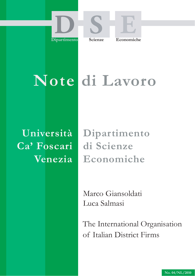





# **Note di Lavoro**

**Università Ca' Foscari Venezia**

**Dipartimento di Scienze Economiche**

Marco Giansoldati Luca Salmasi

The International Organisation of Italian District Firms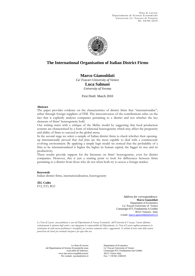

## **The International Organisation of Italian District Firms**

**Marco Giansoldati**  *Ca' Foscari University of Venice*  **Luca Salmasi** 

*University of Verona* 

First Draft: March 2010

#### **Abstract**

The paper provides evidence on the characteristics of district firms that "internationalise", either through foreign suppliers of FDI. The innovativeness of the contributions relies on the fact that it explicitly analyses companies pertaining to a district and test whether the key elements of firms' heterogeneity hold.

Our writing starts with a critique of the Melitz model by suggesting that local production systems are characterised by a form of relational heterogeneity which may affect the propensity and ability of firms to succeed in the global arena.

In the second stage we select a sample of Italian district firms to check whether their openingup internationally proved that *lead firms* are the most capable to deal with a continuously evolving environment. By applying a simple logit model we noticed that the probability of a firm to be internationalised is higher the higher its human capital, the bigger its size and its productivity.

These results provide support for the literature on firms' heterogeneity, even for district companies. However, this is just a starting point to look for differences between firms pertaining to a district from those who do not when both try to access a foreign market.

#### **Keywords**

Italian district firms, internationalisation, heterogeneity

**JEL Codes** F12, F23, R32

> *Address for correspondence*: **Marco Giansoldati**  Department of Economics Ca' Foscari University of Venice Cannaregio 873, Fondamenta S.Giobbe 30121 Venezia - Italy e-mail: marco.giansoldati@unive.it

*Le Note di Lavoro sono pubblicate a cura del Dipartimento di Scienze Economiche dell'Università di Venezia. I lavori riflettono esclusivamente le opinioni degli autori e non impegnano la responsabilità del Dipartimento. Le Note di Lavoro vogliono promuovere la circolazione di studi ancora preliminari e incompleti, per suscitare commenti critici e suggerimenti. Si richiede di tener conto della natura provvisoria dei lavori per eventuali citazioni o per ogni altro uso.*

Le Note di Lavoro del Dipartimento di Scienze Economiche sono scaricabili all'indirizzo: www.dse.unive.it/pubblicazioni/ Per contatti: wp.dse@unive.it

Department of Economics Ca' Foscari University of Venice Cannaregio 873, Fondamenta San Giobbe 30121 Venice Italy Fax: ++39 041 2349210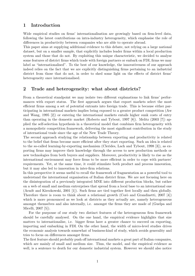## 1 Introduction

Wide empirical studies on firms' internationalisation are growingly based on firm-level data, following the latest contributions on intra-industry heterogeneity, which emphasise the role of differences in productivity between companies who are able to operate abroad.

This paper aims at supplying additional evidence to this debate, not relying on a large national dataset, but on a smaller sample, that explicitly includes leader firms within a local production system and those that do not. By exploiting this unique characteristic, we decided to analyse some features of district firms which trade with foreign partners or embark on FDI, firms we may label as "internationalised". To the best of our knowledge, the innovativeness of our approach indeed relies on the fact that we are explicitly distinguishing firms pertaining to an industrial district from those that do not, in order to shed some light on the effects of district firms' heterogeneity once internationalised.

## 2 Trade and heterogeneity: what about districts?

From a theoretical standpoint we may isolate two different explanations to link firms' performances with export status. The first approach argues that export markets select the most efficient firms among a set of potential entrants into foreign trade. This is because either participating in international markets implies being exposed to a greater product competition (Aw and Wang, 1995 [2]) or entering the international markets entails higher sunk costs of entry than operating in the domestic market (Roberts and Tybout, 1997 [8]). Melitz (2003 [7]) applied the self-selection hypothesis in a theoretical model that combines firm heterogeneity with a monopolistic competition framework, delivering the most significant contribution in the study of international trade since the age of the New Trade Theory.

The second approach studying the relationship between exporting and productivity is related to the belief that firms become more efficient after they start exporting. Such an idea is related to the so-called learning-by-exporting mechanism (Clerides, Lach and Tybout, 1998 [3]), as exporting firms may improve their knowledge through the access to new production methods or new technologies from both buyers and suppliers. Moreover, productivity is likely to rise as the international environment may force firms to be more efficient in order to cope with partners' requirements. Yet, at the same time, it could stimulate both product and process innovation, but it may also led to innovation in inter-firm relations.

In this perspective it seems useful to recall the framework of fragmentation as a powerful tool to understand the international organisation of Italian district firms. We are not focusing here on the disintegration of a previously integrated MNE into different production blocks, but rather on a web of small and medium entrerprises that spread from a local base to an international one (Arndt and Kierzkowski, 2001 [1]). Such firms are tied together first locally and then globally. Therefore there is room to think about a relational growth (Coro and Grandinetti, 2007 [4]) which is more pronounced as we look at districts as they actually are, namely heterogeneous amongst themselves and also internally, i.e. amongst the firms they are made of (Guelpa and Micelli, 2007 [5]).

For the purpouse of our study two distinct features of the heterogeneous firm framework should be carefully analysed. On the one hand, the empirical evidence highlights that size matters to internationalise, i.e. bigger firms have a greater chance to succeed on exporting, importing and embarking in FDI. On the other hand, the width of micro-level studies drives the economic analysis towards somewhat of business-kind of study, which avoids generality and tries to focus on differences amongst firms.

The first feature should probably push off international markets a great part of Italian companies, which are mainly of small and medium size. Thus, the model, and the empirical evidence as well, is a sentence to death for our domestic industrial system. However we should also notice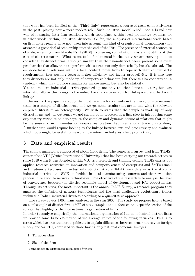that what has been labelled as the "Third Italy" represented a source of great competitiveness in the past, playing now a more modest role. Such industrial model relied upon a brand new way of managing inter-firm relations, which took place within local productive systems, or, in other words, within, industrial districts. So far, the analyses of international trade based on firm heterogeneity have not taken into account this kind of organisational phenomenon that attracted a great deal of scholarship since the end of the '70s. The presence of external economies of scale, emerging from Marshall's (1920 [6]) pioneering contribution, was and it still is at the core of cluster's nature. What seems to be fundamental in the study we are carrying on is to consider that district firms, although smaller than their non-district peers, present some other peculiarities that allow them to perform with success not only domestically but also abroad. The embeddedness of relations within a local context forces firms to cope with their counterparts' requirements, thus pushing towards higher efficiency and higher productivity. It is also true that districts are not only made up of competitive behaviour, but there is also cooperation, a tendency which may provide stimulus for improvement, but also for staticity.

Yet, the modern industrial district openened up not only to other domestic actors, but also internationally as this brings to the milieu the chance to exploit fruitful upward and backward linkages.

In the rest of the paper, we apply the most recent advancements in the theory of international trade to a sample of district firms, and we get some results that are in line with the relevant empirical literature on heterogeneity. We wish to stress that the sample is made up of only district firms and the outcomes we got should be interpreted as a first step in introducing some explanatory variables able to capture the complex and dynamic nature of relations that might be the source of an intra-industry resource reallocation that international trade brings along. A further step would require looking at the linkage between size and productivity and evaluate which tools might be useful to measure how inter-firm linkages affect productivity.

#### 3 Data and empirical results

The sample analysed is composed of about 1.000 firms. The source is a survey lead from TeDIS<sup>1</sup> center of the VIU (Venice International University) that has been carrying out research activities since 1999 when it was founded within VIU as a research and training center. TeDIS carries out applied research activities on innovation and competitiveness of enterprises and SMEs (small and medium enterprises) in industrial districts. A core TeDIS research area is the study of industrial districts and SMEs embedded in local manufacturing contexts and their evolution process in relation to network technologies. The objective of the research is to analyse the level of convergence between the district economic model of development and ICT opportunities. Through its activites, the most important is the annual TeDIS Survey, a research program that analyses the diffusion of network technologies and the most challenging evolutionary trends within the Italian industrial districts according to a quantitative approach.

The survey covers 1,004 firms analysed in the year 2008. The study we propose here is based on a subsample of district firms (50% of total sample) and is focused on a specific section of the survey that highlights the international organisation of firms.

In order to analyse empirically the international organisation of Italian industrial district firms we provide some basic estimation of the average values of the following variables. This is to stress which features are more significant to explain differences between firms that rely on foreign supply and/or FDI, compared to those having only national economic linkages.

- 1. Turnover class
- 2. Size of the firm

<sup>&</sup>lt;sup>1</sup>Technologies in Distributed Intelligence Systems.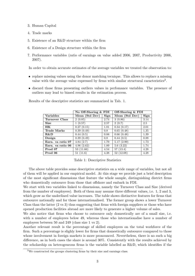- 3. Human Capital
- 4. Trade marks
- 5. Existence of an R&D structure within the firm
- 6. Existence of a Design structure within the firm
- 7. Performance variables (ratio of earnings on value added 2006, 2007, Productivity 2006, 2007).

In order to obtain accurate estimates of the average variables we treated the observation to:

- replace missing values using the donor matching tecnique. This allows to replace a missing value with the average value expressed by firms with similar structural caracteristics<sup>2</sup>.
- discard those firms presenting outliers values in perfomance variables. The presence of outliers may lead to biased results in the estimation process.

|                       | No Off-Shoring $\&$ FDI |      | Off-Shoring & FDI |      |  |
|-----------------------|-------------------------|------|-------------------|------|--|
| <b>Variables</b>      | Mean (Std Dev)          | Sign | Mean (Std Dev)    | Sign |  |
| <b>Turnover Class</b> | 2(0.85)                 | 2.74 | 3(0.86)           | 3.14 |  |
| <b>Size</b>           | 1(0.57)                 | 2.57 | 2(0.7)            | 2.5  |  |
| <b>HK</b>             | 0.27(0.15)              | 1.81 | 0.34(0.17)        | 2.01 |  |
| <b>Trade Marks</b>    | 0.39(0.49)              | 0.8  | 0.65(0.48)        | 1.35 |  |
| $R\&D$                | 0.44(0.5)               | 0.88 | 0.66(0.48)        | 1.39 |  |
| Design                | 0.39(0.49)              | 0.8  | 0.44(0.5)         | 0.88 |  |
| Earn. va ratio 07     | 4.84(2.7)               | 1.79 | 5.17(2.99)        | 1.73 |  |
| Earn. va ratio 06     | 4.96(2.62)              | 1.89 | 5.6(3.22)         | 1.74 |  |
| Prod 07               | 53 (11.66)              | 4.54 | 57(13.4)          | 4.28 |  |
| Prod 06               | 51(11.6)                | 4.38 | 52 (12.08)        | 4.28 |  |

Results of the descriptive statistics are summarized in Tab. 1.

Table 1: Descriptive Statistics

The above table provides some descriptive statistics on a wide range of variables, but not all of them will be applied in our empirical model. At this stage we provide just a brief description of the most significant dimensions that feature the whole sample, distinguishing district firms who domestically outsource from those that offshore and embark in FDI.

We start with two variables linked to dimensions, namely the Turnover Class and Size (derived from the number of employees). Both of them may assume three different values, i.e. 1, 2 and 3, which grow as the underlined value increases. The table shows distinctive features for firms that outsource nationally and for those internationalised. The former group shows a lower Turnover Class than the latter (2 vs 3) thus suggesting that firms with foreign suppliers or those who have opened production facilities abroad are more likely to generate a higher volume of sales.

We also notice that firms who choose to outsource only domestically are of a small size, i.e. with a number of employees below 49, whereas those who internationalise have a number of employees between 50 and 249 (class size 1 vs 2).

Another relevant result is the percentage of skilled employees on the total workforce of the firm. Such a percentage is slighly lower for firms that domestically outsource compared to those whose involvement in foreign markets is more pronounced. Nevertheless, there is no such a big difference, as in both cases the share is around 30%. Consistently with the results achieved by the scholarship on heterogeneous firms is the variable labelled as R&D, which identifies if the

<sup>&</sup>lt;sup>2</sup>We constructed the groups clustering firms by their size and earnings class.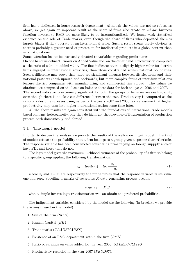firm has a dedicated in-house research department. Although the values are not so robust as above, we get again an impotant result as the share of firms who create an ad hoc business function devoted to R&D are more likely to be internationalised. We found weak statistical evidence on the role of Trade marks, even though the share of firms who deposited them is largely bigger if they operate at an international scale. Such a result seems pretty obvious as there is probably a greater need of protection for intellectual products in a global context than in a national one.

Some attention has to be eventually devoted to variables regarding performance.

On one hand we define Turnover on Added Value and, on the other hand, Productivity, computed as the ratio of sales on added value. The first indicator takes a slightly higher value for district firms engaged in international activities, than those constrained within national boundaries. Such a difference may prove that there are significant linkages between district firms and their national partners (both upward and backward), but more complex forms of inter-firm relations feature district companies with manufacturing and commercial ties abroad. The values we obtained are computed on the basis on balance sheet data for both the years 2006 and 2007.

The second indicator is extremely significant for both the groups of firms we are dealing with, even though there is no clear-cut difference between the two. Productivity is computed as the ratio of sales on employees using values of the years 2007 and 2006, as we assume that higher productivity may turn into higher internationalisation some time later.

All the above results are again consistent with the foundations of international trade models based on firms' heterogeneity, buy they do highlight the relevance of fragmentation of production process both domestically and abroad.

#### 3.1 The Logit model

In order to deepen the analysis we provide the results of the well-known logit model. This kind of models estmate the probability that a firm belongs to a group given a specific charactheristic. The response variable has been constructed considering firms relying on foreign suppply and/or have FDI and those that do not.

The logit model gives the maximum likelihood estimates of the probability of a firm to belong to a specific group appling the following transformation:

$$
\eta_i = logit(\pi_i) = log\frac{\pi_i}{1 - \pi_i} \tag{1}
$$

where  $\pi_i$  and  $1 - \pi_i$  are respectively the probabilities that the response variable takes value one and zero. Specifing a matrix of covariates  $X$  data generating process become

$$
logit(\pi_i) = X^{'}\beta \tag{2}
$$

with a simple inverse logit transformation we can obtain the predicted probabilities.

The indipendent variables considered by the model are the following (in brackets we provide the acronym used in the model):

- 1. Size of the firm (SIZE)
- 2. Human Capital (HK)
- 3. Trade marks (TRADEMARKS)
- 4. Existence of an R&D department within the firm  $(R \& D)$
- 5. Ratio of earnings on value added for the year 2006 (SALESAVRATIO)
- 6. Productivity recorded in the year 2007 (PROD07 ).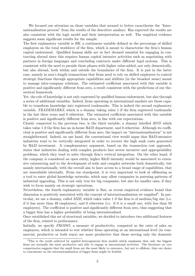We focused our attention on those variables that seemed to better caractherise the "Internationalisation process" from the results of the descritive analisys. Has expected the results are also consistent with the logit model and their interpretation as well. The empirical evidence suggests some significant results for the sample.

The first explanatory variable is HK, a continuous variable defined as the percentage of skilled employees on the total workforce of the firm, which is meant to characterise the firm's human capital endowment. Qualified human skills are in fact deemed essential for engaging in contracting abroad since this requires human capital intensive activities such as negotiating with partners in foreign languages and concluding contracts under different legal systems. This is consistent with the need to preside those phases with higher value-added, not only domestically, but also abroad, both within and outside the boundaries of the firm. It is just in the latter case, namely in arm's length transactions that firms need to rely on skilled employees to control strategic functions through appropriate capabilities and abilities (in the broadest sense) meant to manage inter-company relations. The estimated coefficient associated with this variable is positive and significantly different from zero, a result consistent with the predictions of our theoretical framework.

Yet, the role of knowledge is not only expressed by qualified human endowment, but also through a series of additional variables. Indeed, firms operating in international markets are those capable to transform knowledge into registered trademarks. This is indeed the second explanatory variable, TRADEMARKS, which is a dummy taking value 1 if the firm registered trademarks in the last three years and 0 otherwise. The estimated coefficient associated with this variable is positive and significantly different from zero, in line with our expectations.

Closely connected to the previous two, is the third variable, a dummy labelled  $R\&D$  which takes value 1 if the firm has an in-house R&D department, and 0 otherwise. Although its coefficient is positive and significantly different from zero, the impact on "internationalization" is not straightforward. Indeed, on one hand, the conventional view would argue that R&D-intensive industries tend to be vertically integrated in order to recover the high sunk costs generated by R&D investment. A complementary argument, based on the transaction cost approach, states that industries dealing with complex products face severe incentive and appropriability problems, which they tend to solve through firm's vertical integration. On the other hand, if the company is considered an open entity, higher R&D intensity would be associated to extensive outsourcing and to the development of wide and complex networks both domestically, but mainly internationally, with the overall aim to have access to a broad range of capabilities, that are unavailable internally. From our standpoint, it is very important to look at offshoring as a tool to enter global knowledge networks, which may allow companies in pursuing patterns of industrial upgrading. This is not only true for big companies, but also for smaller ones, if they wish to focus mainly on strategic operations.

Nevertheless, the fourth explanatory variable is Size, as recent empirical evidence found that dimension is positively associated with the concept of internationalisation we supplied<sup>3</sup>. In particular, we use a dummy, called SIZE, which takes value 1 if the firm is of medium/big size (i.e. if it has more than 49 employees), and 0 otherwise (i.e. if it is a small one, with less than 50 employees). The coefficient is positive and significantly different from zero, thus suggesting that a bigger firm has a higher probability of being internationlised.

Once established this set of structural variables, we decided to introduce two additional features of the firm, related to performance.

Initially, we specify  $PROD07$ , a measure of productivity, computed as the ratio of sales on employees, which is intended to test whether firms operating at an international level (in commercial, productive or both ways) are more productive that those serving only the domestic

<sup>&</sup>lt;sup>3</sup>This is the result achieved by applied heterogeneous firm models which emphasise that only the biggest firms are normally the most productive and able to engage in international activities. The literature on core competencies suggests that the small firms are the most likely to outsource, but not to offshore, thus our choice to concentrate on the internationalisation of bigger firms might be fruitful.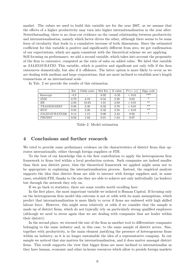market. The values we used to build this variable are for the year 2007, as we assume that the effects of a higher productivity may turn into higher internationalization in the year after. Notwithstanding, there is no clear-cut evidence on the causal relationship between productivity and internationalisation, namely which factor drives the other, although there seems to be some form of circularity that leads to a cumulative increase of both dimensions. Since the estimated coefficient for this variable is positive and significantly different from zero, we got confirmation of our expectations, which are again consistent with the theoretical scheme we are applying.

Still focusing on performance, we add a second variable, which takes into account the propensity of the firm to outsource, computed as the ratio of sales on added value. We label this variable as SALESAVRATIO. This variable, which is positive and significant not only tells if the firm outsources domestically, but also if it offshores. The latter option is more likely to occur as we are dealing with medium and large corporations, that are most inclined to establish arm's length transactions at an international scale.

|                       | Est    | Odds ratio | Std Err | Z value | Pr(><br> z | Sign code |
|-----------------------|--------|------------|---------|---------|------------|-----------|
| Intercept             | $-4.9$ |            | 0.92    | $-5.35$ | < 0.01     | ***       |
| <b>SIZE</b>           | 0.79   | 2.19       | 0.34    | 2.28    | 0.02       | $\ast$    |
| HK                    | 2.93   | 18.65      | 1.01    | 2.89    | ${}< 0.01$ | $**$      |
| <b>TRADEMARKS</b>     | 0.88   | 2.40       | 0.32    | 2.78    | ${}< 0.01$ | $***$     |
| $R$ $B$ $D$           | 0.82   | 2.26       | 0.32    | 2.58    | ${}< 0.01$ | $***$     |
| <i>SALESAVRATIO06</i> | 0.14   | 1.15       | 0.06    | 2.42    | 0.02       | $\ast$    |
| PROD07                | 0.02   | 1.02       | 0.01    | 1.84    | 0.07       |           |

In Tab. 2 we provide the results of this estimation.

Table 2: Model estimation

### 4 Conclusions and further research

We tried to provide some preliminary evidence on the characteristics of district firms that operates internationally, either through foreign suppliers or FDI.

To the best of our knowledge this is the first contribution to apply the heterogeneous firm framework to firms tied within a local production system. Such companies are indeed smaller than their non district peers, thus the theoretical framework we applied might seem not to be appropriate in explaining the internationalisation process. Instead, the empirical analysis supports the idea that district firms are able to interact with foreign suppliers and, in some cases, establish FDI, thanks to the size they are able to achieve not only individually (as leaders) but through the network they rely on.

If we go back to statistics, there are some results worth recalling here.

In the first place, the most important variable we isolated is Human Capital. If focusing only on the heterogeneous firm model this outcome is not at odds with its main assumptions, which predict that internationalization is more likely to occur if firms are endowed with high skilled labour force. However, this might seem relatively at odds if we consider that the sample is made up of district firms, which do not typically rely on particularly strong qualified employees (although we need to stress again that we are dealing with companies that are leader within their district).

In the second place, we stressed the size of the firm as another tool to differentiate companies belonging to the same industry and, in this case, to the same sample of district actors. Size, together with productivity, is the main element justifying the presence of heterogeneous firms within an industry, as it is no longer sustainable the idea of a representative company. In our sample we noticed that size matters for internationalisation, and it does matter amongst district firms. This result supports the view that bigger firms are more inclined to internationalise as they have human, economic and other in-house resources which allow to preside foreign markets